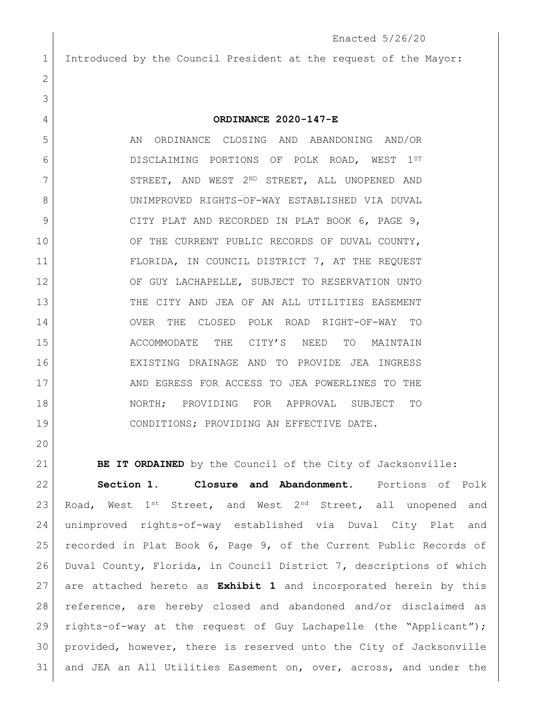## Enacted 5/26/20

Introduced by the Council President at the request of the Mayor:

## **ORDINANCE 2020-147-E**

 AN ORDINANCE CLOSING AND ABANDONING AND/OR DISCLAIMING PORTIONS OF POLK ROAD, WEST 1ST 7 STREET, AND WEST 2ND STREET, ALL UNOPENED AND UNIMPROVED RIGHTS-OF-WAY ESTABLISHED VIA DUVAL 9 CITY PLAT AND RECORDED IN PLAT BOOK 6, PAGE 9, 10 OF THE CURRENT PUBLIC RECORDS OF DUVAL COUNTY, FLORIDA, IN COUNCIL DISTRICT 7, AT THE REQUEST 12 OF GUY LACHAPELLE, SUBJECT TO RESERVATION UNTO THE CITY AND JEA OF AN ALL UTILITIES EASEMENT OVER THE CLOSED POLK ROAD RIGHT-OF-WAY TO ACCOMMODATE THE CITY'S NEED TO MAINTAIN EXISTING DRAINAGE AND TO PROVIDE JEA INGRESS 17 AND EGRESS FOR ACCESS TO JEA POWERLINES TO THE NORTH; PROVIDING FOR APPROVAL SUBJECT TO CONDITIONS; PROVIDING AN EFFECTIVE DATE.

**BE IT ORDAINED** by the Council of the City of Jacksonville: **Section 1. Closure and Abandonment.** Portions of Polk 23 Road, West  $1^{st}$  Street, and West  $2^{nd}$  Street, all unopened and unimproved rights-of-way established via Duval City Plat and recorded in Plat Book 6, Page 9, of the Current Public Records of Duval County, Florida, in Council District 7, descriptions of which are attached hereto as **Exhibit 1** and incorporated herein by this reference, are hereby closed and abandoned and/or disclaimed as rights-of-way at the request of Guy Lachapelle (the "Applicant"); provided, however, there is reserved unto the City of Jacksonville and JEA an All Utilities Easement on, over, across, and under the